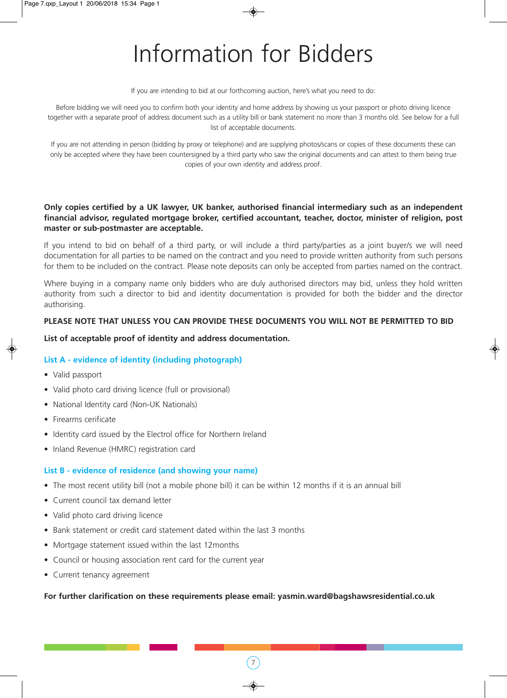# Information for Bidders

If you are intending to bid at our forthcoming auction, here's what you need to do:

Before bidding we will need you to confirm both your identity and home address by showing us your passport or photo driving licence together with a separate proof of address document such as a utility bill or bank statement no more than 3 months old. See below for a full list of acceptable documents.

If you are not attending in person (bidding by proxy or telephone) and are supplying photos/scans or copies of these documents these can only be accepted where they have been countersigned by a third party who saw the original documents and can attest to them being true copies of your own identity and address proof.

### **Only copies certified by a UK lawyer, UK banker, authorised financial intermediary such as an independent financial advisor, regulated mortgage broker, certified accountant, teacher, doctor, minister of religion, post master or sub-postmaster are acceptable.**

If you intend to bid on behalf of a third party, or will include a third party/parties as a joint buyer/s we will need documentation for all parties to be named on the contract and you need to provide written authority from such persons for them to be included on the contract. Please note deposits can only be accepted from parties named on the contract.

Where buying in a company name only bidders who are duly authorised directors may bid, unless they hold written authority from such a director to bid and identity documentation is provided for both the bidder and the director authorising.

### **PLEASE NOTE THAT UNLESS YOU CAN PROVIDE THESE DOCUMENTS YOU WILL NOT BE PERMITTED TO BID**

### **List of acceptable proof of identity and address documentation.**

### **List A - evidence of identity (including photograph)**

- Valid passport
- Valid photo card driving licence (full or provisional)
- National Identity card (Non-UK Nationals)
- Firearms cerificate
- Identity card issued by the Electrol office for Northern Ireland
- Inland Revenue (HMRC) registration card

### **List B - evidence of residence (and showing your name)**

- The most recent utility bill (not a mobile phone bill) it can be within 12 months if it is an annual bill
- Current council tax demand letter
- Valid photo card driving licence
- Bank statement or credit card statement dated within the last 3 months
- Mortgage statement issued within the last 12months
- Council or housing association rent card for the current year
- Current tenancy agreement

#### **For further clarification on these requirements please email: yasmin.ward@bagshawsresidential.co.uk**

 $\left(7\right)$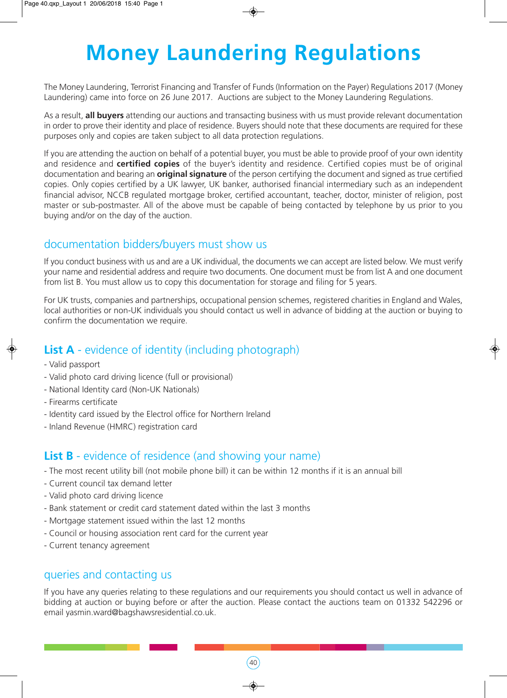# **Money Laundering Regulations**

The Money Laundering, Terrorist Financing and Transfer of Funds (Information on the Payer) Regulations 2017 (Money Laundering) came into force on 26 June 2017. Auctions are subject to the Money Laundering Regulations.

As a result, **all buyers** attending our auctions and transacting business with us must provide relevant documentation in order to prove their identity and place of residence. Buyers should note that these documents are required for these purposes only and copies are taken subject to all data protection regulations.

If you are attending the auction on behalf of a potential buyer, you must be able to provide proof of your own identity and residence and **certified copies** of the buyer's identity and residence. Certified copies must be of original documentation and bearing an **original signature** of the person certifying the document and signed as true certified copies. Only copies certified by a UK lawyer, UK banker, authorised financial intermediary such as an independent financial advisor, NCCB regulated mortgage broker, certified accountant, teacher, doctor, minister of religion, post master or sub-postmaster. All of the above must be capable of being contacted by telephone by us prior to you buying and/or on the day of the auction.

## documentation bidders/buyers must show us

If you conduct business with us and are a UK individual, the documents we can accept are listed below. We must verify your name and residential address and require two documents. One document must be from list A and one document from list B. You must allow us to copy this documentation for storage and filing for 5 years.

For UK trusts, companies and partnerships, occupational pension schemes, registered charities in England and Wales, local authorities or non-UK individuals you should contact us well in advance of bidding at the auction or buying to confirm the documentation we require.

# **List A** - evidence of identity (including photograph)

- Valid passport
- Valid photo card driving licence (full or provisional)
- National Identity card (Non-UK Nationals)
- Firearms certificate
- Identity card issued by the Electrol office for Northern Ireland
- Inland Revenue (HMRC) registration card

### **List B** - evidence of residence (and showing your name)

- The most recent utility bill (not mobile phone bill) it can be within 12 months if it is an annual bill
- Current council tax demand letter
- Valid photo card driving licence
- Bank statement or credit card statement dated within the last 3 months
- Mortgage statement issued within the last 12 months
- Council or housing association rent card for the current year
- Current tenancy agreement

### queries and contacting us

If you have any queries relating to these regulations and our requirements you should contact us well in advance of bidding at auction or buying before or after the auction. Please contact the auctions team on 01332 542296 or email yasmin.ward@bagshawsresidential.co.uk.

 $(40)$